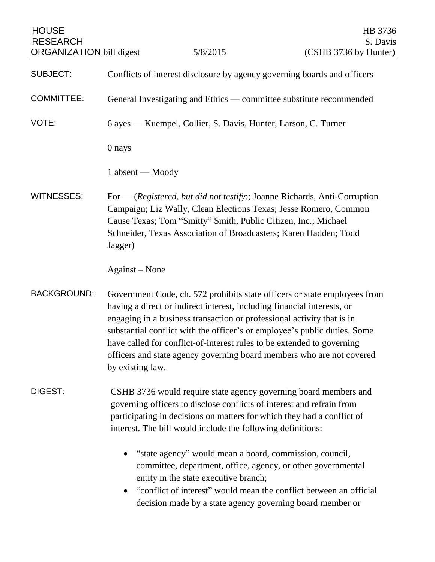| <b>HOUSE</b><br><b>RESEARCH</b><br><b>ORGANIZATION</b> bill digest |                                                                     | 5/8/2015                                                                                                                                                                                                                                                                                                                                                                                                                                                       | HB 3736<br>S. Davis<br>(CSHB 3736 by Hunter) |
|--------------------------------------------------------------------|---------------------------------------------------------------------|----------------------------------------------------------------------------------------------------------------------------------------------------------------------------------------------------------------------------------------------------------------------------------------------------------------------------------------------------------------------------------------------------------------------------------------------------------------|----------------------------------------------|
| <b>SUBJECT:</b>                                                    |                                                                     | Conflicts of interest disclosure by agency governing boards and officers                                                                                                                                                                                                                                                                                                                                                                                       |                                              |
| <b>COMMITTEE:</b>                                                  | General Investigating and Ethics — committee substitute recommended |                                                                                                                                                                                                                                                                                                                                                                                                                                                                |                                              |
| VOTE:                                                              | 6 ayes — Kuempel, Collier, S. Davis, Hunter, Larson, C. Turner      |                                                                                                                                                                                                                                                                                                                                                                                                                                                                |                                              |
|                                                                    | 0 nays                                                              |                                                                                                                                                                                                                                                                                                                                                                                                                                                                |                                              |
|                                                                    | 1 absent — Moody                                                    |                                                                                                                                                                                                                                                                                                                                                                                                                                                                |                                              |
| <b>WITNESSES:</b>                                                  | Jagger)                                                             | For — (Registered, but did not testify:; Joanne Richards, Anti-Corruption<br>Campaign; Liz Wally, Clean Elections Texas; Jesse Romero, Common<br>Cause Texas; Tom "Smitty" Smith, Public Citizen, Inc.; Michael<br>Schneider, Texas Association of Broadcasters; Karen Hadden; Todd                                                                                                                                                                            |                                              |
|                                                                    | Against – None                                                      |                                                                                                                                                                                                                                                                                                                                                                                                                                                                |                                              |
| <b>BACKGROUND:</b>                                                 | by existing law.                                                    | Government Code, ch. 572 prohibits state officers or state employees from<br>having a direct or indirect interest, including financial interests, or<br>engaging in a business transaction or professional activity that is in<br>substantial conflict with the officer's or employee's public duties. Some<br>have called for conflict-of-interest rules to be extended to governing<br>officers and state agency governing board members who are not covered |                                              |
| DIGEST:                                                            |                                                                     | CSHB 3736 would require state agency governing board members and<br>governing officers to disclose conflicts of interest and refrain from<br>participating in decisions on matters for which they had a conflict of<br>interest. The bill would include the following definitions:                                                                                                                                                                             |                                              |
|                                                                    |                                                                     | "state agency" would mean a board, commission, council,<br>committee, department, office, agency, or other governmental<br>entity in the state executive branch;<br>"conflict of interest" would mean the conflict between an official<br>decision made by a state agency governing board member or                                                                                                                                                            |                                              |